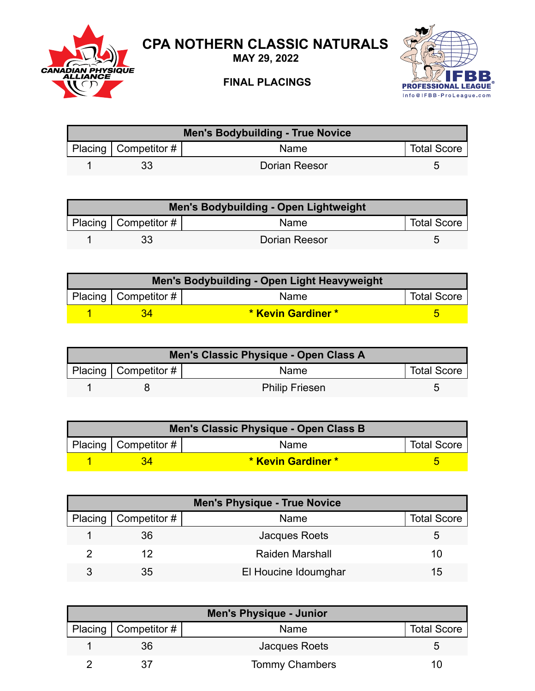

## **CPA NOTHERN CLASSIC NATURALS**

**MAY 29, 2022**

## **FINAL PLACINGS**



| <b>Men's Bodybuilding - True Novice</b> |                        |               |                    |  |
|-----------------------------------------|------------------------|---------------|--------------------|--|
|                                         | Placing   Competitor # | <b>Name</b>   | <b>Total Score</b> |  |
|                                         | 33                     | Dorian Reesor |                    |  |

| Men's Bodybuilding - Open Lightweight |                          |               |                    |  |
|---------------------------------------|--------------------------|---------------|--------------------|--|
|                                       | Placing   Competitor $#$ | <b>Name</b>   | <b>Total Score</b> |  |
|                                       | 33                       | Dorian Reesor |                    |  |

| Men's Bodybuilding - Open Light Heavyweight |                    |                    |  |  |
|---------------------------------------------|--------------------|--------------------|--|--|
| Placing   Competitor $\#$                   | Name               | <b>Total Score</b> |  |  |
|                                             | * Kevin Gardiner * |                    |  |  |

| Men's Classic Physique - Open Class A |                        |                       |                    |
|---------------------------------------|------------------------|-----------------------|--------------------|
|                                       | Placing   Competitor # | <b>Name</b>           | <b>Total Score</b> |
|                                       |                        | <b>Philip Friesen</b> |                    |

| Men's Classic Physique - Open Class B |                          |                    |                    |  |
|---------------------------------------|--------------------------|--------------------|--------------------|--|
|                                       | Placing   Competitor $#$ | <b>Name</b>        | <b>Total Score</b> |  |
|                                       |                          | * Kevin Gardiner * |                    |  |

| <b>Men's Physique - True Novice</b> |                        |                        |                    |
|-------------------------------------|------------------------|------------------------|--------------------|
|                                     | Placing   Competitor # | Name                   | <b>Total Score</b> |
|                                     | 36                     | Jacques Roets          |                    |
|                                     | 12                     | <b>Raiden Marshall</b> | 10                 |
|                                     | 35                     | El Houcine Idoumghar   | 15                 |

| <b>Men's Physique - Junior</b> |                       |                    |  |
|--------------------------------|-----------------------|--------------------|--|
| Placing   Competitor #         | Name                  | <b>Total Score</b> |  |
| 36                             | Jacques Roets         | h                  |  |
|                                | <b>Tommy Chambers</b> | 11                 |  |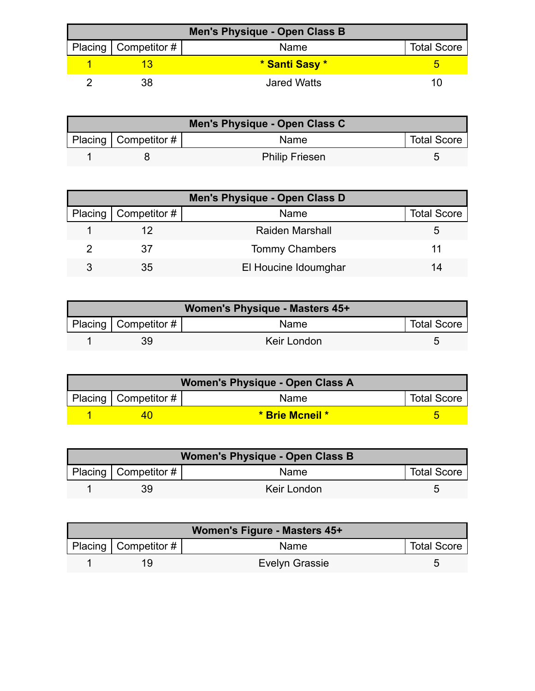| Men's Physique - Open Class B |                        |                |                    |  |
|-------------------------------|------------------------|----------------|--------------------|--|
|                               | Placing   Competitor # | Name           | <b>Total Score</b> |  |
|                               |                        | * Santi Sasy * |                    |  |
|                               |                        | Jared Watts    |                    |  |

| Men's Physique - Open Class C |                          |                       |                    |
|-------------------------------|--------------------------|-----------------------|--------------------|
|                               | Placing   Competitor $#$ | Name                  | <b>Total Score</b> |
|                               |                          | <b>Philip Friesen</b> |                    |

| Men's Physique - Open Class D |                              |                        |                    |  |
|-------------------------------|------------------------------|------------------------|--------------------|--|
|                               | Placing $\vert$ Competitor # | <b>Name</b>            | <b>Total Score</b> |  |
|                               |                              | <b>Raiden Marshall</b> |                    |  |
|                               | 37                           | <b>Tommy Chambers</b>  |                    |  |
| ર                             | 35                           | El Houcine Idoumghar   | 14                 |  |

| Women's Physique - Masters 45+ |                          |             |                    |  |
|--------------------------------|--------------------------|-------------|--------------------|--|
|                                | Placing   Competitor $#$ | Name        | <b>Total Score</b> |  |
|                                | 39                       | Keir London |                    |  |

| Women's Physique - Open Class A |                           |                 |                    |  |
|---------------------------------|---------------------------|-----------------|--------------------|--|
|                                 | Placing   Competitor $\#$ | <b>Name</b>     | <b>Total Score</b> |  |
|                                 |                           | * Brie Mcneil * |                    |  |

| Women's Physique - Open Class B |                          |             |                    |  |
|---------------------------------|--------------------------|-------------|--------------------|--|
|                                 | Placing   Competitor $#$ | <b>Name</b> | <b>Total Score</b> |  |
|                                 | 39                       | Keir London |                    |  |

| Women's Figure - Masters 45+ |                        |                |                    |
|------------------------------|------------------------|----------------|--------------------|
|                              | Placing   Competitor # | Name           | <b>Total Score</b> |
|                              | 1 Q                    | Evelyn Grassie | h                  |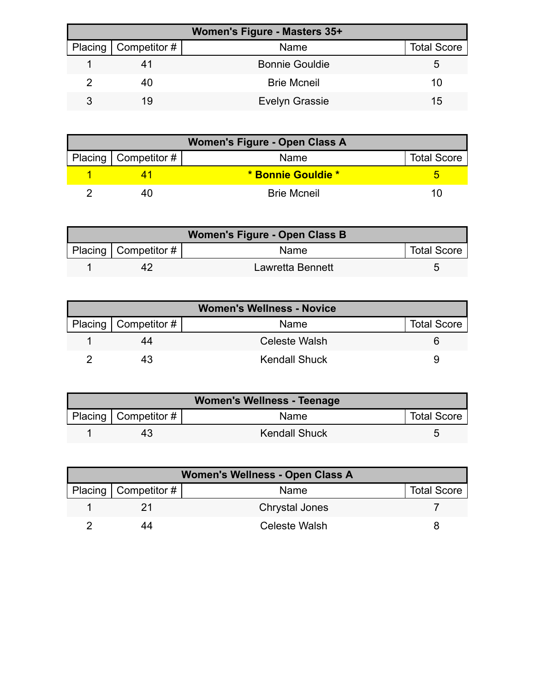| Women's Figure - Masters 35+ |                        |                       |                    |  |
|------------------------------|------------------------|-----------------------|--------------------|--|
|                              | Placing   Competitor # | Name                  | <b>Total Score</b> |  |
|                              |                        | <b>Bonnie Gouldie</b> | 5.                 |  |
|                              | 40                     | <b>Brie Mcneil</b>    | 10                 |  |
|                              | 19                     | <b>Evelyn Grassie</b> | 15                 |  |

| Women's Figure - Open Class A |                        |                    |                    |  |
|-------------------------------|------------------------|--------------------|--------------------|--|
|                               | Placing   Competitor # | Name               | <b>Total Score</b> |  |
|                               |                        | * Bonnie Gouldie * |                    |  |
|                               |                        | <b>Brie Mcneil</b> | 1 I I              |  |

| Women's Figure - Open Class B |                          |                  |                    |  |
|-------------------------------|--------------------------|------------------|--------------------|--|
|                               | Placing   Competitor $#$ | <b>Name</b>      | <b>Total Score</b> |  |
|                               |                          | Lawretta Bennett |                    |  |

| <b>Women's Wellness - Novice</b> |                        |               |                    |  |
|----------------------------------|------------------------|---------------|--------------------|--|
|                                  | Placing   Competitor # | Name          | <b>Total Score</b> |  |
|                                  | 44                     | Celeste Walsh |                    |  |
|                                  |                        | Kendall Shuck |                    |  |

| Women's Wellness - Teenage |                           |                      |                    |  |
|----------------------------|---------------------------|----------------------|--------------------|--|
|                            | Placing   Competitor $\#$ | <b>Name</b>          | <b>Total Score</b> |  |
|                            | 43                        | <b>Kendall Shuck</b> |                    |  |

| Women's Wellness - Open Class A |                        |                       |                    |  |
|---------------------------------|------------------------|-----------------------|--------------------|--|
|                                 | Placing   Competitor # | Name                  | <b>Total Score</b> |  |
|                                 |                        | <b>Chrystal Jones</b> |                    |  |
|                                 | 44                     | Celeste Walsh         |                    |  |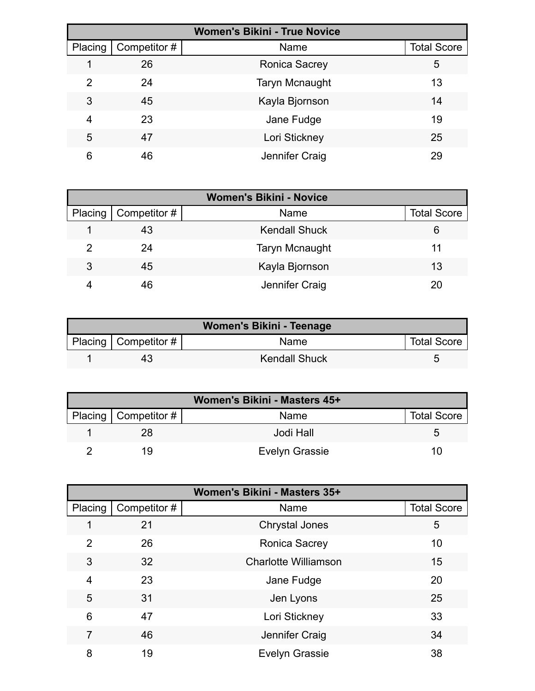| <b>Women's Bikini - True Novice</b> |              |                       |                    |
|-------------------------------------|--------------|-----------------------|--------------------|
| Placing                             | Competitor # | Name                  | <b>Total Score</b> |
|                                     | 26           | <b>Ronica Sacrey</b>  | 5                  |
| 2                                   | 24           | <b>Taryn Mcnaught</b> | 13                 |
| 3                                   | 45           | Kayla Bjornson        | 14                 |
| 4                                   | 23           | Jane Fudge            | 19                 |
| 5                                   | 47           | Lori Stickney         | 25                 |
| 6                                   | 46           | Jennifer Craig        | 29                 |

| <b>Women's Bikini - Novice</b> |                     |                       |                    |
|--------------------------------|---------------------|-----------------------|--------------------|
| Placing                        | $\mid$ Competitor # | Name                  | <b>Total Score</b> |
|                                | 43                  | <b>Kendall Shuck</b>  | 6                  |
| 2                              | 24                  | <b>Taryn Mcnaught</b> | 11                 |
| 3                              | 45                  | Kayla Bjornson        | 13                 |
|                                | 46                  | Jennifer Craig        |                    |

| Women's Bikini - Teenage |                            |                      |                    |  |
|--------------------------|----------------------------|----------------------|--------------------|--|
|                          | Placing   Competitor # $ $ | Name                 | <b>Total Score</b> |  |
|                          | 43                         | <b>Kendall Shuck</b> |                    |  |

| Women's Bikini - Masters 45+ |                        |                       |                    |  |
|------------------------------|------------------------|-----------------------|--------------------|--|
|                              | Placing   Competitor # | Name                  | <b>Total Score</b> |  |
|                              | 28                     | Jodi Hall             |                    |  |
|                              | 10                     | <b>Evelyn Grassie</b> | 10                 |  |

| Women's Bikini - Masters 35+ |              |                             |                    |
|------------------------------|--------------|-----------------------------|--------------------|
| Placing                      | Competitor # | Name                        | <b>Total Score</b> |
|                              | 21           | <b>Chrystal Jones</b>       | 5                  |
| $\overline{2}$               | 26           | <b>Ronica Sacrey</b>        | 10                 |
| 3                            | 32           | <b>Charlotte Williamson</b> | 15                 |
| $\overline{4}$               | 23           | Jane Fudge                  | 20                 |
| 5                            | 31           | Jen Lyons                   | 25                 |
| 6                            | 47           | Lori Stickney               | 33                 |
| 7                            | 46           | Jennifer Craig              | 34                 |
| 8                            | 19           | <b>Evelyn Grassie</b>       | 38                 |